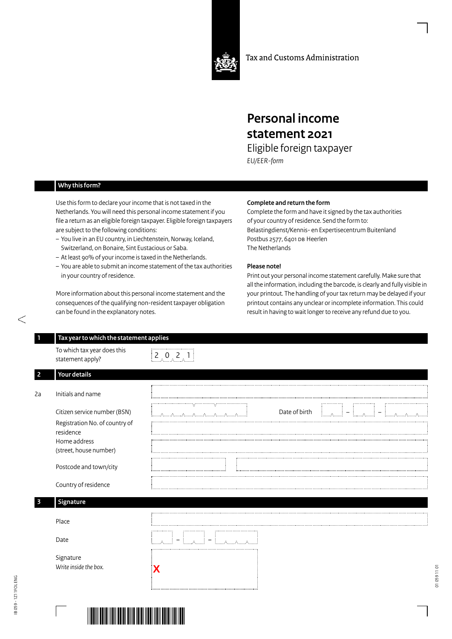

Tax and Customs Administration

## **Personal income statement 2021**

Eligible foreign taxpayer *EU/EER-form*

## **Why this form?**

Use this form to declare your income that is not taxed in the Netherlands. You will need this personal income statement if you file a return as an eligible foreign taxpayer. Eligible foreign taxpayers are subject to the following conditions:

- You live in an EU country, in Liechtenstein, Norway, Iceland, Switzerland, on Bonaire, Sint Eustacious or Saba.
- At least 90% of your income is taxed in the Netherlands.
- You are able to submit an income statement of the tax authorities in your country of residence.

More information about this personal income statement and the consequences of the qualifying non-resident taxpayer obligation can be found in the explanatory notes.

## **Complete and return the form**

Complete the form and have it signed by the tax authorities of your country of residence. Send the form to: Belastingdienst/Kennis- en Expertisecentrum Buitenland Postbus 2577, 6401 DB Heerlen The Netherlands

## **Please note!**

Print out your personal income statement carefully. Make sure that all the information, including the barcode, is clearly and fully visible in your printout. The handling of your tax return may be delayed if your printout contains any unclear or incomplete information. This could result in having to wait longer to receive any refund due to you.

0591101

| To which tax year does this<br>statement apply?                             | $\begin{bmatrix} 2 & 0 & 2 & 1 \end{bmatrix}$          |
|-----------------------------------------------------------------------------|--------------------------------------------------------|
| Your details                                                                |                                                        |
| Initials and name                                                           |                                                        |
| Citizen service number (BSN)<br>Registration No. of country of<br>residence | Date of birth<br>اخ السيميا<br>− أ <sub>ستسمىس</sub> ∏ |
| Home address<br>(street, house number)                                      |                                                        |
| Postcode and town/city                                                      |                                                        |
| Country of residence                                                        |                                                        |
| Signature                                                                   |                                                        |
| Place                                                                       |                                                        |
| Date                                                                        | Elmark.                                                |
| Signature<br>Write inside the box.                                          |                                                        |
|                                                                             |                                                        |

**Contractor**